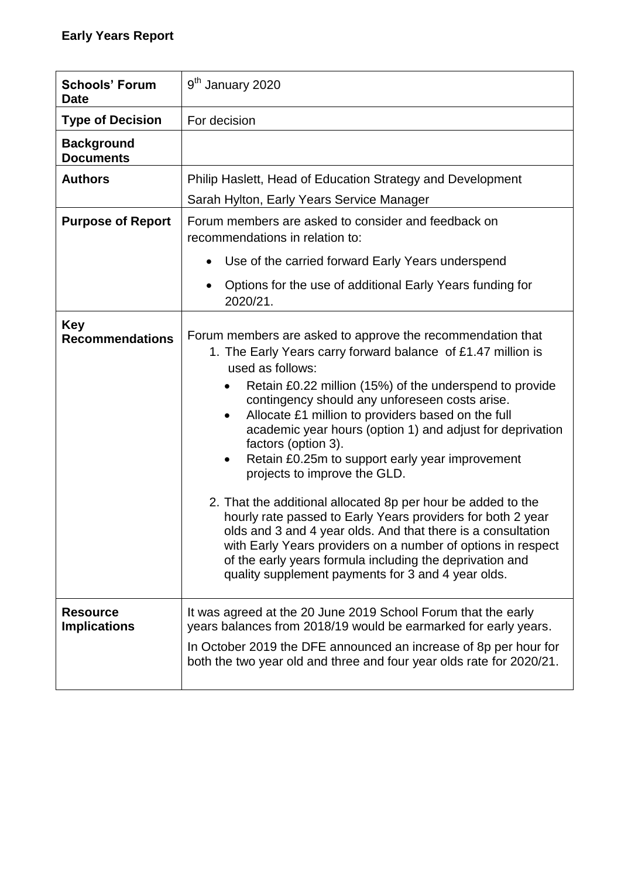| <b>Schools' Forum</b><br><b>Date</b>   | 9 <sup>th</sup> January 2020                                                                                                                                                                                                                                                                                                                                                                                                                                                                                                                                                                                                                                                                                                                                                                                                                                                                |  |  |  |
|----------------------------------------|---------------------------------------------------------------------------------------------------------------------------------------------------------------------------------------------------------------------------------------------------------------------------------------------------------------------------------------------------------------------------------------------------------------------------------------------------------------------------------------------------------------------------------------------------------------------------------------------------------------------------------------------------------------------------------------------------------------------------------------------------------------------------------------------------------------------------------------------------------------------------------------------|--|--|--|
| <b>Type of Decision</b>                | For decision                                                                                                                                                                                                                                                                                                                                                                                                                                                                                                                                                                                                                                                                                                                                                                                                                                                                                |  |  |  |
| <b>Background</b><br><b>Documents</b>  |                                                                                                                                                                                                                                                                                                                                                                                                                                                                                                                                                                                                                                                                                                                                                                                                                                                                                             |  |  |  |
| <b>Authors</b>                         | Philip Haslett, Head of Education Strategy and Development                                                                                                                                                                                                                                                                                                                                                                                                                                                                                                                                                                                                                                                                                                                                                                                                                                  |  |  |  |
|                                        | Sarah Hylton, Early Years Service Manager                                                                                                                                                                                                                                                                                                                                                                                                                                                                                                                                                                                                                                                                                                                                                                                                                                                   |  |  |  |
| <b>Purpose of Report</b>               | Forum members are asked to consider and feedback on<br>recommendations in relation to:                                                                                                                                                                                                                                                                                                                                                                                                                                                                                                                                                                                                                                                                                                                                                                                                      |  |  |  |
|                                        | Use of the carried forward Early Years underspend                                                                                                                                                                                                                                                                                                                                                                                                                                                                                                                                                                                                                                                                                                                                                                                                                                           |  |  |  |
|                                        | Options for the use of additional Early Years funding for<br>2020/21.                                                                                                                                                                                                                                                                                                                                                                                                                                                                                                                                                                                                                                                                                                                                                                                                                       |  |  |  |
| <b>Key</b><br><b>Recommendations</b>   | Forum members are asked to approve the recommendation that<br>1. The Early Years carry forward balance of £1.47 million is<br>used as follows:<br>Retain £0.22 million (15%) of the underspend to provide<br>contingency should any unforeseen costs arise.<br>Allocate £1 million to providers based on the full<br>٠<br>academic year hours (option 1) and adjust for deprivation<br>factors (option 3).<br>Retain £0.25m to support early year improvement<br>$\bullet$<br>projects to improve the GLD.<br>2. That the additional allocated 8p per hour be added to the<br>hourly rate passed to Early Years providers for both 2 year<br>olds and 3 and 4 year olds. And that there is a consultation<br>with Early Years providers on a number of options in respect<br>of the early years formula including the deprivation and<br>quality supplement payments for 3 and 4 year olds. |  |  |  |
| <b>Resource</b><br><b>Implications</b> | It was agreed at the 20 June 2019 School Forum that the early<br>years balances from 2018/19 would be earmarked for early years.<br>In October 2019 the DFE announced an increase of 8p per hour for<br>both the two year old and three and four year olds rate for 2020/21.                                                                                                                                                                                                                                                                                                                                                                                                                                                                                                                                                                                                                |  |  |  |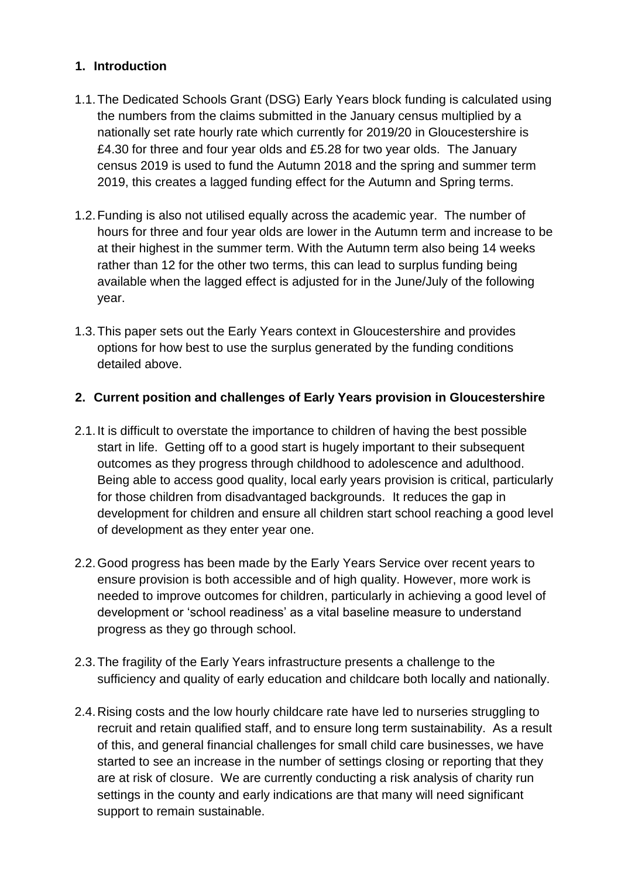### **1. Introduction**

- 1.1.The Dedicated Schools Grant (DSG) Early Years block funding is calculated using the numbers from the claims submitted in the January census multiplied by a nationally set rate hourly rate which currently for 2019/20 in Gloucestershire is £4.30 for three and four year olds and £5.28 for two year olds. The January census 2019 is used to fund the Autumn 2018 and the spring and summer term 2019, this creates a lagged funding effect for the Autumn and Spring terms.
- 1.2.Funding is also not utilised equally across the academic year. The number of hours for three and four year olds are lower in the Autumn term and increase to be at their highest in the summer term. With the Autumn term also being 14 weeks rather than 12 for the other two terms, this can lead to surplus funding being available when the lagged effect is adjusted for in the June/July of the following year.
- 1.3.This paper sets out the Early Years context in Gloucestershire and provides options for how best to use the surplus generated by the funding conditions detailed above.

#### **2. Current position and challenges of Early Years provision in Gloucestershire**

- 2.1.It is difficult to overstate the importance to children of having the best possible start in life. Getting off to a good start is hugely important to their subsequent outcomes as they progress through childhood to adolescence and adulthood. Being able to access good quality, local early years provision is critical, particularly for those children from disadvantaged backgrounds. It reduces the gap in development for children and ensure all children start school reaching a good level of development as they enter year one.
- 2.2.Good progress has been made by the Early Years Service over recent years to ensure provision is both accessible and of high quality. However, more work is needed to improve outcomes for children, particularly in achieving a good level of development or 'school readiness' as a vital baseline measure to understand progress as they go through school.
- 2.3.The fragility of the Early Years infrastructure presents a challenge to the sufficiency and quality of early education and childcare both locally and nationally.
- 2.4.Rising costs and the low hourly childcare rate have led to nurseries struggling to recruit and retain qualified staff, and to ensure long term sustainability. As a result of this, and general financial challenges for small child care businesses, we have started to see an increase in the number of settings closing or reporting that they are at risk of closure. We are currently conducting a risk analysis of charity run settings in the county and early indications are that many will need significant support to remain sustainable.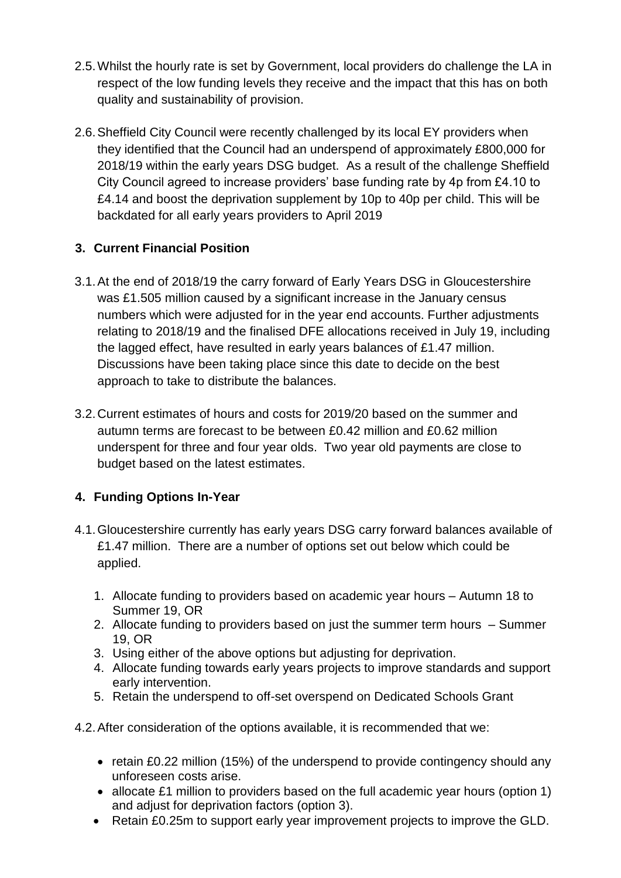- 2.5.Whilst the hourly rate is set by Government, local providers do challenge the LA in respect of the low funding levels they receive and the impact that this has on both quality and sustainability of provision.
- 2.6.Sheffield City Council were recently challenged by its local EY providers when they identified that the Council had an underspend of approximately £800,000 for 2018/19 within the early years DSG budget. As a result of the challenge Sheffield City Council agreed to increase providers' base funding rate by 4p from £4.10 to £4.14 and boost the deprivation supplement by 10p to 40p per child. This will be backdated for all early years providers to April 2019

## **3. Current Financial Position**

- 3.1.At the end of 2018/19 the carry forward of Early Years DSG in Gloucestershire was £1.505 million caused by a significant increase in the January census numbers which were adjusted for in the year end accounts. Further adjustments relating to 2018/19 and the finalised DFE allocations received in July 19, including the lagged effect, have resulted in early years balances of £1.47 million. Discussions have been taking place since this date to decide on the best approach to take to distribute the balances.
- 3.2.Current estimates of hours and costs for 2019/20 based on the summer and autumn terms are forecast to be between £0.42 million and £0.62 million underspent for three and four year olds. Two year old payments are close to budget based on the latest estimates.

## **4. Funding Options In-Year**

- 4.1.Gloucestershire currently has early years DSG carry forward balances available of £1.47 million. There are a number of options set out below which could be applied.
	- 1. Allocate funding to providers based on academic year hours Autumn 18 to Summer 19, OR
	- 2. Allocate funding to providers based on just the summer term hours Summer 19, OR
	- 3. Using either of the above options but adjusting for deprivation.
	- 4. Allocate funding towards early years projects to improve standards and support early intervention.
	- 5. Retain the underspend to off-set overspend on Dedicated Schools Grant
- 4.2.After consideration of the options available, it is recommended that we:
	- retain £0.22 million (15%) of the underspend to provide contingency should any unforeseen costs arise.
	- allocate £1 million to providers based on the full academic year hours (option 1) and adjust for deprivation factors (option 3).
	- Retain £0.25m to support early year improvement projects to improve the GLD.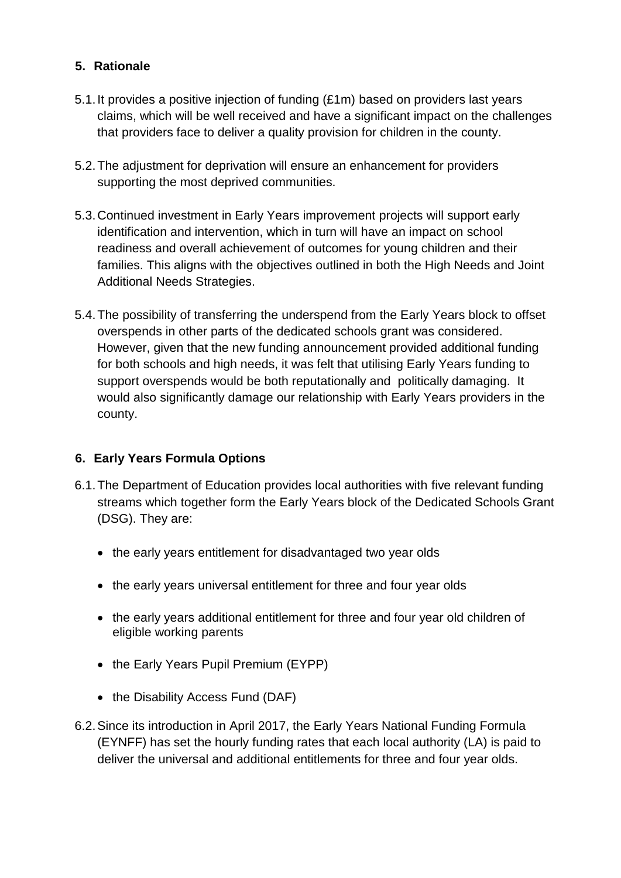### **5. Rationale**

- 5.1.It provides a positive injection of funding (£1m) based on providers last years claims, which will be well received and have a significant impact on the challenges that providers face to deliver a quality provision for children in the county.
- 5.2.The adjustment for deprivation will ensure an enhancement for providers supporting the most deprived communities.
- 5.3.Continued investment in Early Years improvement projects will support early identification and intervention, which in turn will have an impact on school readiness and overall achievement of outcomes for young children and their families. This aligns with the objectives outlined in both the High Needs and Joint Additional Needs Strategies.
- 5.4.The possibility of transferring the underspend from the Early Years block to offset overspends in other parts of the dedicated schools grant was considered. However, given that the new funding announcement provided additional funding for both schools and high needs, it was felt that utilising Early Years funding to support overspends would be both reputationally and politically damaging. It would also significantly damage our relationship with Early Years providers in the county.

## **6. Early Years Formula Options**

- 6.1.The Department of Education provides local authorities with five relevant funding streams which together form the Early Years block of the Dedicated Schools Grant (DSG). They are:
	- the early years entitlement for disadvantaged two year olds
	- the early years universal entitlement for three and four year olds
	- the early years additional entitlement for three and four year old children of eligible working parents
	- the Early Years Pupil Premium (EYPP)
	- the Disability Access Fund (DAF)
- 6.2.Since its introduction in April 2017, the Early Years National Funding Formula (EYNFF) has set the hourly funding rates that each local authority (LA) is paid to deliver the universal and additional entitlements for three and four year olds.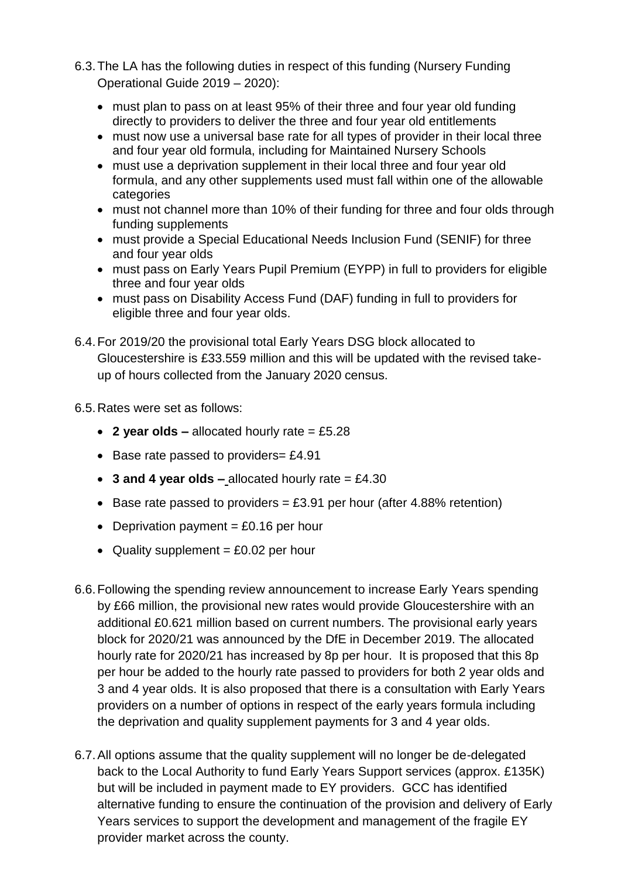- 6.3.The LA has the following duties in respect of this funding (Nursery Funding Operational Guide 2019 – 2020):
	- must plan to pass on at least 95% of their three and four year old funding directly to providers to deliver the three and four year old entitlements
	- must now use a universal base rate for all types of provider in their local three and four year old formula, including for Maintained Nursery Schools
	- must use a deprivation supplement in their local three and four year old formula, and any other supplements used must fall within one of the allowable categories
	- must not channel more than 10% of their funding for three and four olds through funding supplements
	- must provide a Special Educational Needs Inclusion Fund (SENIF) for three and four year olds
	- must pass on Early Years Pupil Premium (EYPP) in full to providers for eligible three and four year olds
	- must pass on Disability Access Fund (DAF) funding in full to providers for eligible three and four year olds.
- 6.4.For 2019/20 the provisional total Early Years DSG block allocated to Gloucestershire is £33.559 million and this will be updated with the revised takeup of hours collected from the January 2020 census.
- 6.5.Rates were set as follows:
	- **2 year olds –** allocated hourly rate = £5.28
	- Base rate passed to providers= £4.91
	- **3 and 4 year olds –** allocated hourly rate = £4.30
	- Base rate passed to providers = £3.91 per hour (after 4.88% retention)
	- Deprivation payment  $= £0.16$  per hour
	- Quality supplement  $= £0.02$  per hour
- 6.6.Following the spending review announcement to increase Early Years spending by £66 million, the provisional new rates would provide Gloucestershire with an additional £0.621 million based on current numbers. The provisional early years block for 2020/21 was announced by the DfE in December 2019. The allocated hourly rate for 2020/21 has increased by 8p per hour. It is proposed that this 8p per hour be added to the hourly rate passed to providers for both 2 year olds and 3 and 4 year olds. It is also proposed that there is a consultation with Early Years providers on a number of options in respect of the early years formula including the deprivation and quality supplement payments for 3 and 4 year olds.
- 6.7.All options assume that the quality supplement will no longer be de-delegated back to the Local Authority to fund Early Years Support services (approx. £135K) but will be included in payment made to EY providers. GCC has identified alternative funding to ensure the continuation of the provision and delivery of Early Years services to support the development and management of the fragile EY provider market across the county.